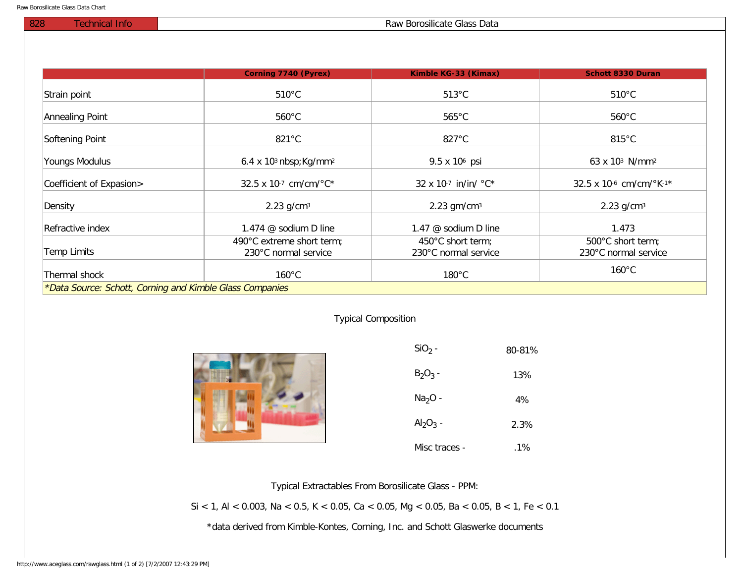## 828 Technical Info Raw Borosilicate Glass Data

|                                                          | Corning 7740 (Pyrex)                              | Kimble KG-33 (Kimax)                      | <b>Schott 8330 Duran</b>                  |
|----------------------------------------------------------|---------------------------------------------------|-------------------------------------------|-------------------------------------------|
| Strain point                                             | $510^{\circ}$ C                                   | $513^{\circ}$ C                           | $510^{\circ}$ C                           |
| Annealing Point                                          | $560^{\circ}$ C                                   | $565^{\circ}$ C                           | $560^{\circ}$ C                           |
| Softening Point                                          | $821^{\circ}$ C                                   | $827^{\circ}$ C                           | $815^{\circ}$ C                           |
| Youngs Modulus                                           | $6.4 \times 103$ nbsp; Kg/mm <sup>2</sup>         | 9.5 x 10 <sup>6</sup> psi                 | 63 x 10 <sup>3</sup> N/mm <sup>2</sup>    |
| Coefficient of Expasion>                                 | 32.5 x 10-7 cm/cm/°C*                             | 32 x 10-7 in/in/ °C*                      | 32.5 x 10-6 cm/cm/ $\textdegree$ K-1*     |
| Density                                                  | $2.23$ g/cm <sup>3</sup>                          | $2.23$ gm/cm <sup>3</sup>                 | $2.23$ g/cm <sup>3</sup>                  |
| Refractive index                                         | 1.474 @ sodium D line                             | 1.47 @ sodium D line                      | 1.473                                     |
| <b>Temp Limits</b>                                       | 490°C extreme short term;<br>230°C normal service | 450°C short term;<br>230°C normal service | 500°C short term;<br>230°C normal service |
| Thermal shock                                            | $160^{\circ}$ C                                   | $180^{\circ}$ C                           | $160^{\circ}$ C                           |
| *Data Source: Schott, Corning and Kimble Glass Companies |                                                   |                                           |                                           |

## Typical Composition



| $SiO2$ -      | 80-81% |
|---------------|--------|
| $B_2O_3$ -    | 13%    |
| $Na2O -$      | 4%     |
| $Al_2O_3$ -   | 2.3%   |
| Misc traces - | .1%    |

Typical Extractables From Borosilicate Glass - PPM:

Si < 1, Al < 0.003, Na < 0.5, K < 0.05, Ca < 0.05, Mg < 0.05, Ba < 0.05, B < 1, Fe < 0.1

\*data derived from Kimble-Kontes, Corning, Inc. and Schott Glaswerke documents